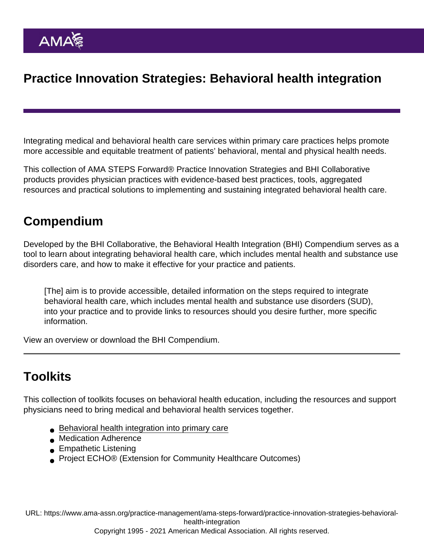# Practice Innovation Strategies: Behavioral health integration

Integrating medical and behavioral health care services within primary care practices helps promote more accessible and equitable treatment of patients' behavioral, mental and physical health needs.

This collection of AMA STEPS Forward® Practice Innovation Strategies and BHI Collaborative products provides physician practices with evidence-based best practices, tools, aggregated resources and practical solutions to implementing and sustaining integrated behavioral health care.

### Compendium

Developed by the BHI Collaborative, the Behavioral Health Integration (BHI) Compendium serves as a tool to learn about integrating behavioral health care, which includes mental health and substance use disorders care, and how to make it effective for your practice and patients.

[The] aim is to provide accessible, detailed information on the steps required to integrate behavioral health care, which includes mental health and substance use disorders (SUD), into your practice and to provide links to resources should you desire further, more specific information.

[View an overview or download the BHI Compendium](https://www.ama-assn.org/delivering-care/public-health/compendium-behavioral-health-integration-resources-physician).

## **Toolkits**

This collection of toolkits focuses on behavioral health education, including the resources and support physicians need to bring medical and behavioral health services together.

- [Behavioral health integration into primary care](https://edhub.ama-assn.org/steps-forward/module/2702747)
- [Medication Adherence](https://edhub.ama-assn.org/steps-forward/module/2702595)
- **[Empathetic Listening](https://edhub.ama-assn.org/steps-forward/module/2702561)**
- Project ECHO<sup>®</sup> (Extension for Community Healthcare Outcomes)

URL: [https://www.ama-assn.org/practice-management/ama-steps-forward/practice-innovation-strategies-behavioral](https://www.ama-assn.org/practice-management/ama-steps-forward/practice-innovation-strategies-behavioral-health-integration)[health-integration](https://www.ama-assn.org/practice-management/ama-steps-forward/practice-innovation-strategies-behavioral-health-integration)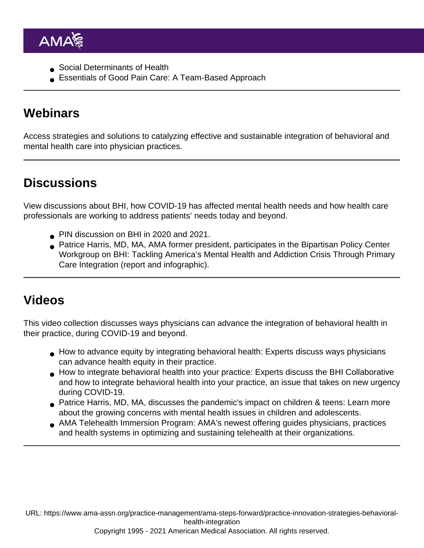- [Social Determinants of Health](https://edhub.ama-assn.org/steps-forward/module/2702762)
- [Essentials of Good Pain Care: A Team-Based Approach](https://edhub.ama-assn.org/steps-forward/module/2702759)

## **Webinars**

Access strategies and solutions to catalyzing effective and sustainable integration of behavioral and mental health care into physician practices.

## **Discussions**

View discussions about BHI, how COVID-19 has affected mental health needs and how health care professionals are working to address patients' needs today and beyond.

- [PIN discussion](https://innovationmatch.ama-assn.org/groups/ama-physician-innovation-network-public-area/discussions/COVID-impact-mental-health) on BHI in 2020 and 2021.
- Patrice Harris, MD, MA, AMA former president, participates in the Bipartisan Policy Center Workgroup on BHI: [Tackling America's Mental Health and Addiction Crisis Through Primary](https://bipartisanpolicy.org/report/behavioral-health-2021/) [Care Integration](https://bipartisanpolicy.org/report/behavioral-health-2021/) (report and infographic).

## Videos

This video collection discusses ways physicians can advance the integration of behavioral health in their practice, during COVID-19 and beyond.

- [How to advance equity by integrating behavioral health:](https://www.youtube.com/watch?v=lM9J20R8-xs&list=PL7ZHBCvG4qsd4ILkIYDHtZYKFQWXLbt--&index=27) Experts discuss ways physicians can advance health equity in their practice.
- [How to integrate behavioral health into your practice:](https://www.youtube.com/watch?v=-kWdsUQnSyw) Experts discuss the BHI Collaborative and how to integrate behavioral health into your practice, an issue that takes on new urgency during COVID-19.
- [Patrice Harris, MD, MA, discusses the pandemic's impact on children & teens](https://www.ama-assn.org/delivering-care/population-care/patrice-harris-md-ma-discusses-pandemics-impact-children-teens): Learn more about the growing concerns with mental health issues in children and adolescents.
- [AMA Telehealth Immersion Program](https://www.youtube.com/watch?v=N91xUnEnOd4): AMA's newest offering guides physicians, practices and health systems in optimizing and sustaining telehealth at their organizations.

URL: [https://www.ama-assn.org/practice-management/ama-steps-forward/practice-innovation-strategies-behavioral](https://www.ama-assn.org/practice-management/ama-steps-forward/practice-innovation-strategies-behavioral-health-integration)[health-integration](https://www.ama-assn.org/practice-management/ama-steps-forward/practice-innovation-strategies-behavioral-health-integration)